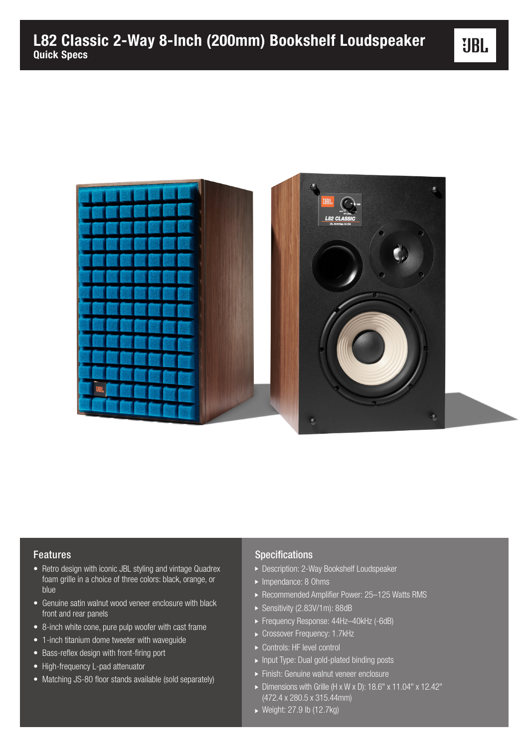

## Features

- Retro design with iconic JBL styling and vintage Quadrex foam grille in a choice of three colors: black, orange, or blue
- Genuine satin walnut wood veneer enclosure with black front and rear panels
- 8-inch white cone, pure pulp woofer with cast frame
- 1-inch titanium dome tweeter with waveguide
- Bass-reflex design with front-firing port
- High-frequency L-pad attenuator
- Matching JS-80 floor stands available (sold separately)

## Specifications

- ▶ Description: 2-Way Bookshelf Loudspeaker
- Impendance: 8 Ohms
- ▶ Recommended Amplifier Power: 25-125 Watts RMS
- ▶ Sensitivity (2.83V/1m): 88dB
- Frequency Response: 44Hz–40kHz (-6dB)
- Crossover Frequency: 1.7kHz
- ▶ Controls: HF level control
- ▶ Input Type: Dual gold-plated binding posts
- Finish: Genuine walnut veneer enclosure
- ▶ Dimensions with Grille (H x W x D): 18.6" x 11.04" x 12.42"  $\sqrt{(472.4 \times 280.5 \times 315.44}$ mm)
- ▶ Weight: 27.9 lb (12.7kg)